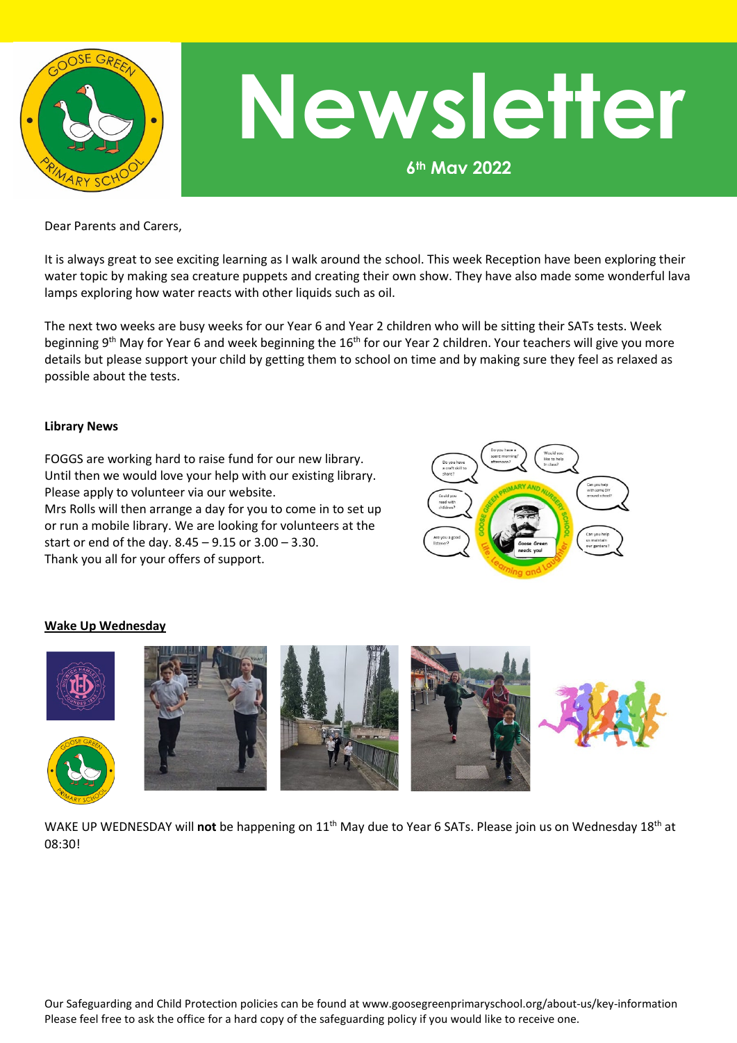

# **Newsletter**

**6th May 2022**

Dear Parents and Carers,

It is always great to see exciting learning as I walk around the school. This week Reception have been exploring their water topic by making sea creature puppets and creating their own show. They have also made some wonderful lava lamps exploring how water reacts with other liquids such as oil.

The next two weeks are busy weeks for our Year 6 and Year 2 children who will be sitting their SATs tests. Week beginning 9<sup>th</sup> May for Year 6 and week beginning the 16<sup>th</sup> for our Year 2 children. Your teachers will give you more details but please support your child by getting them to school on time and by making sure they feel as relaxed as possible about the tests.

# **Library News**

FOGGS are working hard to raise fund for our new library. Until then we would love your help with our existing library. Please apply to volunteer via our website.

Mrs Rolls will then arrange a day for you to come in to set up or run a mobile library. We are looking for volunteers at the start or end of the day. 8.45 – 9.15 or 3.00 – 3.30. Thank you all for your offers of support.



# **Wake Up Wednesday**



WAKE UP WEDNESDAY will **not** be happening on 11th May due to Year 6 SATs. Please join us on Wednesday 18th at 08:30!